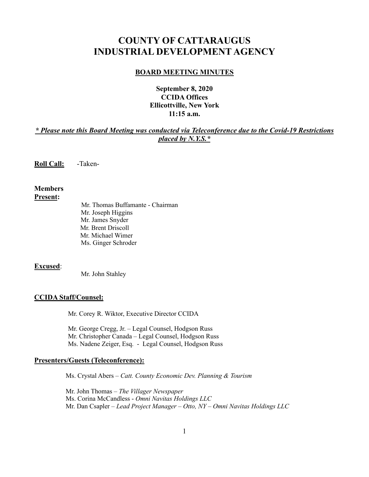# **COUNTY OF CATTARAUGUS INDUSTRIAL DEVELOPMENT AGENCY**

#### **BOARD MEETING MINUTES**

# **September 8, 2020 CCIDA Offices Ellicottville, New York 11:15 a.m.**

## *\* Please note this Board Meeting was conducted via Teleconference due to the Covid-19 Restrictions placed by N.Y.S.\**

**Roll Call:** -Taken-

#### **Members Present:**

Mr. Thomas Buffamante - Chairman Mr. Joseph Higgins Mr. James Snyder Mr. Brent Driscoll Mr. Michael Wimer Ms. Ginger Schroder

#### **Excused**:

Mr. John Stahley

#### **CCIDA Staff/Counsel:**

Mr. Corey R. Wiktor, Executive Director CCIDA

Mr. George Cregg, Jr. – Legal Counsel, Hodgson Russ Mr. Christopher Canada – Legal Counsel, Hodgson Russ Ms. Nadene Zeiger, Esq. - Legal Counsel, Hodgson Russ

#### **Presenters/Guests (Teleconference):**

Ms. Crystal Abers – *Catt. County Economic Dev. Planning & Tourism*

 Mr. John Thomas – *The Villager Newspaper* Ms. Corina McCandless - *Omni Navitas Holdings LLC* Mr. Dan Csapler – *Lead Project Manager – Otto, NY – Omni Navitas Holdings LLC*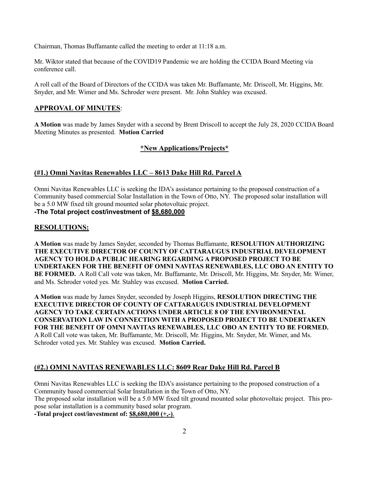Chairman, Thomas Buffamante called the meeting to order at 11:18 a.m.

Mr. Wiktor stated that because of the COVID19 Pandemic we are holding the CCIDA Board Meeting via conference call.

A roll call of the Board of Directors of the CCIDA was taken Mr. Buffamante, Mr. Driscoll, Mr. Higgins, Mr. Snyder, and Mr. Wimer and Ms. Schroder were present. Mr. John Stahley was excused.

## **APPROVAL OF MINUTES**:

**A Motion** was made by James Snyder with a second by Brent Driscoll to accept the July 28, 2020 CCIDA Board Meeting Minutes as presented. **Motion Carried**

## **\*New Applications/Projects\***

## **(#1.) Omni Navitas Renewables LLC – 8613 Dake Hill Rd. Parcel A**

Omni Navitas Renewables LLC is seeking the IDA's assistance pertaining to the proposed construction of a Community based commercial Solar Installation in the Town of Otto, NY. The proposed solar installation will be a 5.0 MW fixed tilt ground mounted solar photovoltaic project.

**-The Total project cost/investment of \$8,680,000**

## **RESOLUTIONS:**

**A Motion** was made by James Snyder, seconded by Thomas Buffamante, **RESOLUTION AUTHORIZING THE EXECUTIVE DIRECTOR OF COUNTY OF CATTARAUGUS INDUSTRIAL DEVELOPMENT AGENCY TO HOLD A PUBLIC HEARING REGARDING A PROPOSED PROJECT TO BE UNDERTAKEN FOR THE BENEFIT OF OMNI NAVITAS RENEWABLES, LLC OBO AN ENTITY TO BE FORMED.** A Roll Call vote was taken, Mr. Buffamante, Mr. Driscoll, Mr. Higgins, Mr. Snyder, Mr. Wimer, and Ms. Schroder voted yes. Mr. Stahley was excused. **Motion Carried.**

**A Motion** was made by James Snyder, seconded by Joseph Higgins, **RESOLUTION DIRECTING THE EXECUTIVE DIRECTOR OF COUNTY OF CATTARAUGUS INDUSTRIAL DEVELOPMENT AGENCY TO TAKE CERTAIN ACTIONS UNDER ARTICLE 8 OF THE ENVIRONMENTAL CONSERVATION LAW IN CONNECTION WITH A PROPOSED PROJECT TO BE UNDERTAKEN FOR THE BENEFIT OF OMNI NAVITAS RENEWABLES, LLC OBO AN ENTITY TO BE FORMED.** A Roll Call vote was taken, Mr. Buffamante, Mr. Driscoll, Mr. Higgins, Mr. Snyder, Mr. Wimer, and Ms. Schroder voted yes. Mr. Stahley was excused. **Motion Carried.**

## **(#2.) OMNI NAVITAS RENEWABLES LLC: 8609 Rear Dake Hill Rd. Parcel B**

Omni Navitas Renewables LLC is seeking the IDA's assistance pertaining to the proposed construction of a Community based commercial Solar Installation in the Town of Otto, NY. The proposed solar installation will be a 5.0 MW fixed tilt ground mounted solar photovoltaic project. This propose solar installation is a community based solar program. **-Total project cost/investment of: \$8,680,000 (+,-)**.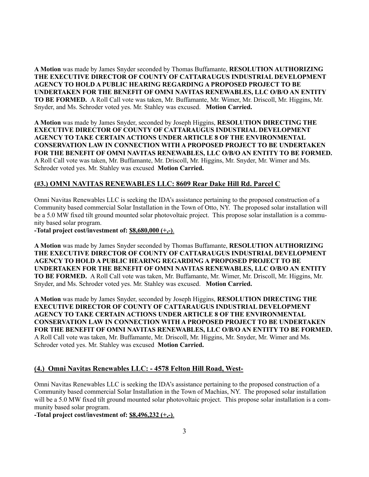**A Motion** was made by James Snyder seconded by Thomas Buffamante, **RESOLUTION AUTHORIZING THE EXECUTIVE DIRECTOR OF COUNTY OF CATTARAUGUS INDUSTRIAL DEVELOPMENT AGENCY TO HOLD A PUBLIC HEARING REGARDING A PROPOSED PROJECT TO BE UNDERTAKEN FOR THE BENEFIT OF OMNI NAVITAS RENEWABLES, LLC O/B/O AN ENTITY TO BE FORMED.** A Roll Call vote was taken, Mr. Buffamante, Mr. Wimer, Mr. Driscoll, Mr. Higgins, Mr. Snyder, and Ms. Schroder voted yes. Mr. Stahley was excused. **Motion Carried.** 

**A Motion** was made by James Snyder, seconded by Joseph Higgins, **RESOLUTION DIRECTING THE EXECUTIVE DIRECTOR OF COUNTY OF CATTARAUGUS INDUSTRIAL DEVELOPMENT AGENCY TO TAKE CERTAIN ACTIONS UNDER ARTICLE 8 OF THE ENVIRONMENTAL CONSERVATION LAW IN CONNECTION WITH A PROPOSED PROJECT TO BE UNDERTAKEN FOR THE BENEFIT OF OMNI NAVITAS RENEWABLES, LLC O/B/O AN ENTITY TO BE FORMED.**  A Roll Call vote was taken, Mr. Buffamante, Mr. Driscoll, Mr. Higgins, Mr. Snyder, Mr. Wimer and Ms. Schroder voted yes. Mr. Stahley was excused **Motion Carried.** 

## **(#3.) OMNI NAVITAS RENEWABLES LLC: 8609 Rear Dake Hill Rd. Parcel C**

Omni Navitas Renewables LLC is seeking the IDA's assistance pertaining to the proposed construction of a Community based commercial Solar Installation in the Town of Otto, NY. The proposed solar installation will be a 5.0 MW fixed tilt ground mounted solar photovoltaic project. This propose solar installation is a community based solar program.

**-Total project cost/investment of: \$8,680,000 (+,-)**.

**A Motion** was made by James Snyder seconded by Thomas Buffamante, **RESOLUTION AUTHORIZING THE EXECUTIVE DIRECTOR OF COUNTY OF CATTARAUGUS INDUSTRIAL DEVELOPMENT AGENCY TO HOLD A PUBLIC HEARING REGARDING A PROPOSED PROJECT TO BE UNDERTAKEN FOR THE BENEFIT OF OMNI NAVITAS RENEWABLES, LLC O/B/O AN ENTITY TO BE FORMED.** A Roll Call vote was taken, Mr. Buffamante, Mr. Wimer, Mr. Driscoll, Mr. Higgins, Mr. Snyder, and Ms. Schroder voted yes. Mr. Stahley was excused. **Motion Carried.** 

**A Motion** was made by James Snyder, seconded by Joseph Higgins, **RESOLUTION DIRECTING THE EXECUTIVE DIRECTOR OF COUNTY OF CATTARAUGUS INDUSTRIAL DEVELOPMENT AGENCY TO TAKE CERTAIN ACTIONS UNDER ARTICLE 8 OF THE ENVIRONMENTAL CONSERVATION LAW IN CONNECTION WITH A PROPOSED PROJECT TO BE UNDERTAKEN FOR THE BENEFIT OF OMNI NAVITAS RENEWABLES, LLC O/B/O AN ENTITY TO BE FORMED.**  A Roll Call vote was taken, Mr. Buffamante, Mr. Driscoll, Mr. Higgins, Mr. Snyder, Mr. Wimer and Ms. Schroder voted yes. Mr. Stahley was excused **Motion Carried.** 

#### **(4.) Omni Navitas Renewables LLC: - 4578 Felton Hill Road, West-**

Omni Navitas Renewables LLC is seeking the IDA's assistance pertaining to the proposed construction of a Community based commercial Solar Installation in the Town of Machias, NY. The proposed solar installation will be a 5.0 MW fixed tilt ground mounted solar photovoltaic project. This propose solar installation is a community based solar program.

**-Total project cost/investment of: \$8,496,232 (+,-)**.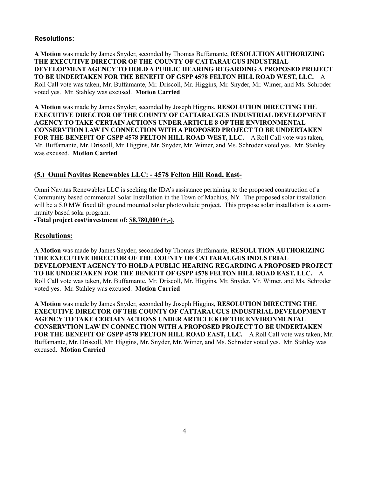## **Resolutions:**

**A Motion** was made by James Snyder, seconded by Thomas Buffamante, **RESOLUTION AUTHORIZING THE EXECUTIVE DIRECTOR OF THE COUNTY OF CATTARAUGUS INDUSTRIAL DEVELOPMENT AGENCY TO HOLD A PUBLIC HEARING REGARDING A PROPOSED PROJECT TO BE UNDERTAKEN FOR THE BENEFIT OF GSPP 4578 FELTON HILL ROAD WEST, LLC.** A Roll Call vote was taken, Mr. Buffamante, Mr. Driscoll, Mr. Higgins, Mr. Snyder, Mr. Wimer, and Ms. Schroder voted yes. Mr. Stahley was excused. **Motion Carried** 

**A Motion** was made by James Snyder, seconded by Joseph Higgins, **RESOLUTION DIRECTING THE EXECUTIVE DIRECTOR OF THE COUNTY OF CATTARAUGUS INDUSTRIAL DEVELOPMENT AGENCY TO TAKE CERTAIN ACTIONS UNDER ARTICLE 8 OF THE ENVIRONMENTAL CONSERVTION LAW IN CONNECTION WITH A PROPOSED PROJECT TO BE UNDERTAKEN FOR THE BENEFIT OF GSPP 4578 FELTON HILL ROAD WEST, LLC.** A Roll Call vote was taken, Mr. Buffamante, Mr. Driscoll, Mr. Higgins, Mr. Snyder, Mr. Wimer, and Ms. Schroder voted yes. Mr. Stahley was excused. **Motion Carried** 

## **(5.) Omni Navitas Renewables LLC: - 4578 Felton Hill Road, East-**

Omni Navitas Renewables LLC is seeking the IDA's assistance pertaining to the proposed construction of a Community based commercial Solar Installation in the Town of Machias, NY. The proposed solar installation will be a 5.0 MW fixed tilt ground mounted solar photovoltaic project. This propose solar installation is a community based solar program.

**-Total project cost/investment of: \$8,780,000 (+,-)**.

#### **Resolutions:**

**A Motion** was made by James Snyder, seconded by Thomas Buffamante, **RESOLUTION AUTHORIZING THE EXECUTIVE DIRECTOR OF THE COUNTY OF CATTARAUGUS INDUSTRIAL DEVELOPMENT AGENCY TO HOLD A PUBLIC HEARING REGARDING A PROPOSED PROJECT TO BE UNDERTAKEN FOR THE BENEFIT OF GSPP 4578 FELTON HILL ROAD EAST, LLC.** A Roll Call vote was taken, Mr. Buffamante, Mr. Driscoll, Mr. Higgins, Mr. Snyder, Mr. Wimer, and Ms. Schroder voted yes. Mr. Stahley was excused. **Motion Carried** 

**A Motion** was made by James Snyder, seconded by Joseph Higgins, **RESOLUTION DIRECTING THE EXECUTIVE DIRECTOR OF THE COUNTY OF CATTARAUGUS INDUSTRIAL DEVELOPMENT AGENCY TO TAKE CERTAIN ACTIONS UNDER ARTICLE 8 OF THE ENVIRONMENTAL CONSERVTION LAW IN CONNECTION WITH A PROPOSED PROJECT TO BE UNDERTAKEN FOR THE BENEFIT OF GSPP 4578 FELTON HILL ROAD EAST, LLC.** A Roll Call vote was taken, Mr. Buffamante, Mr. Driscoll, Mr. Higgins, Mr. Snyder, Mr. Wimer, and Ms. Schroder voted yes. Mr. Stahley was excused. **Motion Carried**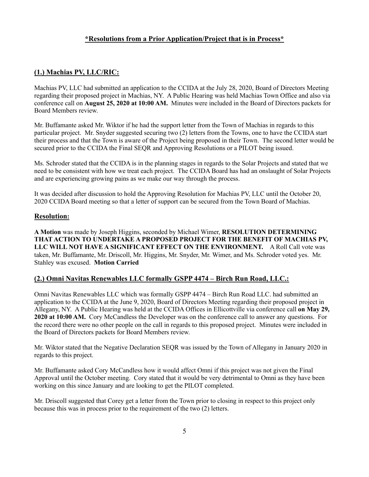## **\*Resolutions from a Prior Application/Project that is in Process\***

## **(1.) Machias PV, LLC/RIC:**

Machias PV, LLC had submitted an application to the CCIDA at the July 28, 2020, Board of Directors Meeting regarding their proposed project in Machias, NY. A Public Hearing was held Machias Town Office and also via conference call on **August 25, 2020 at 10:00 AM.** Minutes were included in the Board of Directors packets for Board Members review.

Mr. Buffamante asked Mr. Wiktor if he had the support letter from the Town of Machias in regards to this particular project. Mr. Snyder suggested securing two (2) letters from the Towns, one to have the CCIDA start their process and that the Town is aware of the Project being proposed in their Town. The second letter would be secured prior to the CCIDA the Final SEQR and Approving Resolutions or a PILOT being issued.

Ms. Schroder stated that the CCIDA is in the planning stages in regards to the Solar Projects and stated that we need to be consistent with how we treat each project. The CCIDA Board has had an onslaught of Solar Projects and are experiencing growing pains as we make our way through the process.

It was decided after discussion to hold the Approving Resolution for Machias PV, LLC until the October 20, 2020 CCIDA Board meeting so that a letter of support can be secured from the Town Board of Machias.

#### **Resolution:**

**A Motion** was made by Joseph Higgins, seconded by Michael Wimer, **RESOLUTION DETERMINING THAT ACTION TO UNDERTAKE A PROPOSED PROJECT FOR THE BENEFIT OF MACHIAS PV, LLC WILL NOT HAVE A SIGNIFICANT EFFECT ON THE ENVIRONMENT.** A Roll Call vote was taken, Mr. Buffamante, Mr. Driscoll, Mr. Higgins, Mr. Snyder, Mr. Wimer, and Ms. Schroder voted yes. Mr. Stahley was excused. **Motion Carried** 

#### **(2.) Omni Navitas Renewables LLC formally GSPP 4474 – Birch Run Road, LLC.:**

Omni Navitas Renewables LLC which was formally GSPP 4474 – Birch Run Road LLC. had submitted an application to the CCIDA at the June 9, 2020, Board of Directors Meeting regarding their proposed project in Allegany, NY. A Public Hearing was held at the CCIDA Offices in Ellicottville via conference call **on May 29, 2020 at 10:00 AM.** Cory McCandless the Developer was on the conference call to answer any questions. For the record there were no other people on the call in regards to this proposed project. Minutes were included in the Board of Directors packets for Board Members review.

Mr. Wiktor stated that the Negative Declaration SEQR was issued by the Town of Allegany in January 2020 in regards to this project.

Mr. Buffamante asked Cory McCandless how it would affect Omni if this project was not given the Final Approval until the October meeting. Cory stated that it would be very detrimental to Omni as they have been working on this since January and are looking to get the PILOT completed.

Mr. Driscoll suggested that Corey get a letter from the Town prior to closing in respect to this project only because this was in process prior to the requirement of the two (2) letters.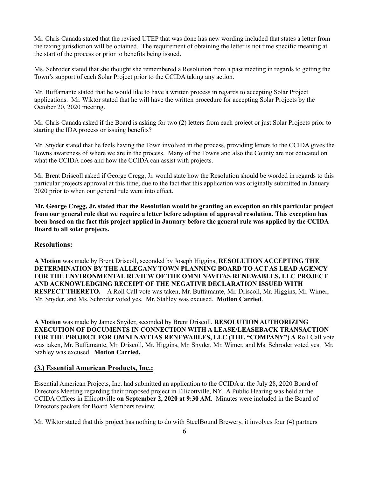Mr. Chris Canada stated that the revised UTEP that was done has new wording included that states a letter from the taxing jurisdiction will be obtained. The requirement of obtaining the letter is not time specific meaning at the start of the process or prior to benefits being issued.

Ms. Schroder stated that she thought she remembered a Resolution from a past meeting in regards to getting the Town's support of each Solar Project prior to the CCIDA taking any action.

Mr. Buffamante stated that he would like to have a written process in regards to accepting Solar Project applications. Mr. Wiktor stated that he will have the written procedure for accepting Solar Projects by the October 20, 2020 meeting.

Mr. Chris Canada asked if the Board is asking for two (2) letters from each project or just Solar Projects prior to starting the IDA process or issuing benefits?

Mr. Snyder stated that he feels having the Town involved in the process, providing letters to the CCIDA gives the Towns awareness of where we are in the process. Many of the Towns and also the County are not educated on what the CCIDA does and how the CCIDA can assist with projects.

Mr. Brent Driscoll asked if George Cregg, Jr. would state how the Resolution should be worded in regards to this particular projects approval at this time, due to the fact that this application was originally submitted in January 2020 prior to when our general rule went into effect.

**Mr. George Cregg, Jr. stated that the Resolution would be granting an exception on this particular project from our general rule that we require a letter before adoption of approval resolution. This exception has been based on the fact this project applied in January before the general rule was applied by the CCIDA Board to all solar projects.** 

#### **Resolutions:**

**A Motion** was made by Brent Driscoll, seconded by Joseph Higgins, **RESOLUTION ACCEPTING THE DETERMINATION BY THE ALLEGANY TOWN PLANNING BOARD TO ACT AS LEAD AGENCY FOR THE ENVIRONMENTAL REVIEW OF THE OMNI NAVITAS RENEWABLES, LLC PROJECT AND ACKNOWLEDGING RECEIPT OF THE NEGATIVE DECLARATION ISSUED WITH RESPECT THERETO.** A Roll Call vote was taken, Mr. Buffamante, Mr. Driscoll, Mr. Higgins, Mr. Wimer, Mr. Snyder, and Ms. Schroder voted yes. Mr. Stahley was excused. **Motion Carried**.

**A Motion** was made by James Snyder, seconded by Brent Driscoll, **RESOLUTION AUTHORIZING EXECUTION OF DOCUMENTS IN CONNECTION WITH A LEASE/LEASEBACK TRANSACTION FOR THE PROJECT FOR OMNI NAVITAS RENEWABLES, LLC (THE "COMPANY") A** Roll Call vote was taken, Mr. Buffamante, Mr. Driscoll, Mr. Higgins, Mr. Snyder, Mr. Wimer, and Ms. Schroder voted yes. Mr. Stahley was excused. **Motion Carried.** 

# **(3.) Essential American Products, Inc.:**

Essential American Projects, Inc. had submitted an application to the CCIDA at the July 28, 2020 Board of Directors Meeting regarding their proposed project in Ellicottville, NY. A Public Hearing was held at the CCIDA Offices in Ellicottville **on September 2, 2020 at 9:30 AM.** Minutes were included in the Board of Directors packets for Board Members review.

Mr. Wiktor stated that this project has nothing to do with SteelBound Brewery, it involves four (4) partners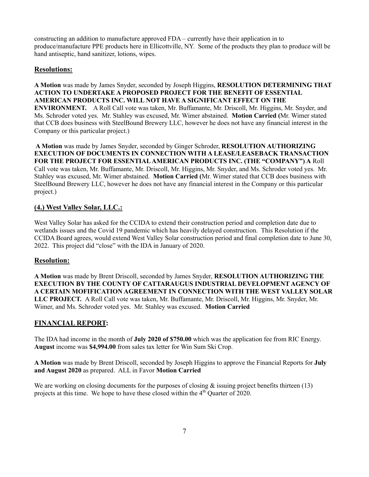constructing an addition to manufacture approved FDA – currently have their application in to produce/manufacture PPE products here in Ellicottville, NY. Some of the products they plan to produce will be hand antiseptic, hand sanitizer, lotions, wipes.

# **Resolutions:**

**A Motion** was made by James Snyder, seconded by Joseph Higgins, **RESOLUTION DETERMINING THAT ACTION TO UNDERTAKE A PROPOSED PROJECT FOR THE BENEFIT OF ESSENTIAL AMERICAN PRODUCTS INC. WILL NOT HAVE A SIGNIFICANT EFFECT ON THE ENVIRONMENT.** A Roll Call vote was taken, Mr. Buffamante, Mr. Driscoll, Mr. Higgins, Mr. Snyder, and Ms. Schroder voted yes. Mr. Stahley was excused, Mr. Wimer abstained. **Motion Carried (**Mr. Wimer stated that CCB does business with SteelBound Brewery LLC, however he does not have any financial interest in the Company or this particular project.)

**A Motion** was made by James Snyder, seconded by Ginger Schroder, **RESOLUTION AUTHORIZING EXECUTION OF DOCUMENTS IN CONNECTION WITH A LEASE/LEASEBACK TRANSACTION FOR THE PROJECT FOR ESSENTIAL AMERICAN PRODUCTS INC. (THE "COMPANY") A** Roll Call vote was taken, Mr. Buffamante, Mr. Driscoll, Mr. Higgins, Mr. Snyder, and Ms. Schroder voted yes. Mr. Stahley was excused, Mr. Wimer abstained. **Motion Carried (**Mr. Wimer stated that CCB does business with SteelBound Brewery LLC, however he does not have any financial interest in the Company or this particular project.)

# **(4.) West Valley Solar, LLC.:**

West Valley Solar has asked for the CCIDA to extend their construction period and completion date due to wetlands issues and the Covid 19 pandemic which has heavily delayed construction. This Resolution if the CCIDA Board agrees, would extend West Valley Solar construction period and final completion date to June 30, 2022. This project did "close" with the IDA in January of 2020.

## **Resolution:**

**A Motion** was made by Brent Driscoll, seconded by James Snyder, **RESOLUTION AUTHORIZING THE EXECUTION BY THE COUNTY OF CATTARAUGUS INDUSTRIAL DEVELOPMENT AGENCY OF A CERTAIN MOFIFICATION AGREEMENT IN CONNECTION WITH THE WEST VALLEY SOLAR LLC PROJECT.** A Roll Call vote was taken, Mr. Buffamante, Mr. Driscoll, Mr. Higgins, Mr. Snyder, Mr. Wimer, and Ms. Schroder voted yes. Mr. Stahley was excused. **Motion Carried**

## **FINANCIAL REPORT:**

The IDA had income in the month of **July 2020 of \$750.00** which was the application fee from RIC Energy. **August** income was **\$4,994.00** from sales tax letter for Win Sum Ski Crop.

**A Motion** was made by Brent Driscoll, seconded by Joseph Higgins to approve the Financial Reports for **July and August 2020** as prepared. ALL in Favor **Motion Carried**

We are working on closing documents for the purposes of closing  $\&$  issuing project benefits thirteen (13) projects at this time. We hope to have these closed within the 4<sup>th</sup> Quarter of 2020.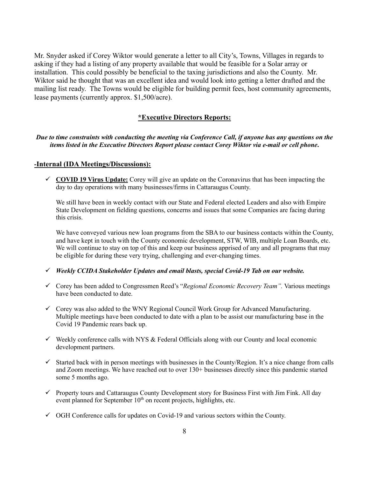Mr. Snyder asked if Corey Wiktor would generate a letter to all City's, Towns, Villages in regards to asking if they had a listing of any property available that would be feasible for a Solar array or installation. This could possibly be beneficial to the taxing jurisdictions and also the County. Mr. Wiktor said he thought that was an excellent idea and would look into getting a letter drafted and the mailing list ready. The Towns would be eligible for building permit fees, host community agreements, lease payments (currently approx. \$1,500/acre).

#### **\*Executive Directors Reports:**

*Due to time constraints with conducting the meeting via Conference Call, if anyone has any questions on the items listed in the Executive Directors Report please contact Corey Wiktor via e-mail or cell phone***.**

#### **-Internal (IDA Meetings/Discussions):**

 $\checkmark$  **COVID 19 Virus Update:** Corey will give an update on the Coronavirus that has been impacting the day to day operations with many businesses/firms in Cattaraugus County.

We still have been in weekly contact with our State and Federal elected Leaders and also with Empire State Development on fielding questions, concerns and issues that some Companies are facing during this crisis.

We have conveyed various new loan programs from the SBA to our business contacts within the County, and have kept in touch with the County economic development, STW, WIB, multiple Loan Boards, etc. We will continue to stay on top of this and keep our business apprised of any and all programs that may be eligible for during these very trying, challenging and ever-changing times.

- ! *Weekly CCIDA Stakeholder Updates and email blasts, special Covid-19 Tab on our website.*
- ! Corey has been added to Congressmen Reed's "*Regional Economic Recovery Team".* Various meetings have been conducted to date.
- $\checkmark$  Corey was also added to the WNY Regional Council Work Group for Advanced Manufacturing. Multiple meetings have been conducted to date with a plan to be assist our manufacturing base in the Covid 19 Pandemic rears back up.
- $\checkmark$  Weekly conference calls with NYS & Federal Officials along with our County and local economic development partners.
- $\checkmark$  Started back with in person meetings with businesses in the County/Region. It's a nice change from calls and Zoom meetings. We have reached out to over 130+ businesses directly since this pandemic started some 5 months ago.
- $\checkmark$  Property tours and Cattaraugus County Development story for Business First with Jim Fink. All day event planned for September  $10<sup>th</sup>$  on recent projects, highlights, etc.
- $\checkmark$  OGH Conference calls for updates on Covid-19 and various sectors within the County.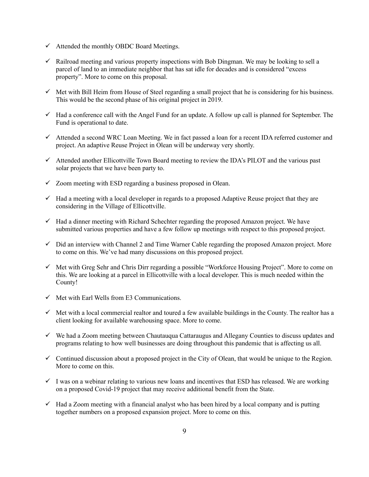- $\checkmark$  Attended the monthly OBDC Board Meetings.
- $\checkmark$  Railroad meeting and various property inspections with Bob Dingman. We may be looking to sell a parcel of land to an immediate neighbor that has sat idle for decades and is considered "excess property". More to come on this proposal.
- $\checkmark$  Met with Bill Heim from House of Steel regarding a small project that he is considering for his business. This would be the second phase of his original project in 2019.
- $\checkmark$  Had a conference call with the Angel Fund for an update. A follow up call is planned for September. The Fund is operational to date.
- $\checkmark$  Attended a second WRC Loan Meeting. We in fact passed a loan for a recent IDA referred customer and project. An adaptive Reuse Project in Olean will be underway very shortly.
- $\checkmark$  Attended another Ellicottville Town Board meeting to review the IDA's PILOT and the various past solar projects that we have been party to.
- $\checkmark$  Zoom meeting with ESD regarding a business proposed in Olean.
- $\checkmark$  Had a meeting with a local developer in regards to a proposed Adaptive Reuse project that they are considering in the Village of Ellicottville.
- $\checkmark$  Had a dinner meeting with Richard Schechter regarding the proposed Amazon project. We have submitted various properties and have a few follow up meetings with respect to this proposed project.
- $\checkmark$  Did an interview with Channel 2 and Time Warner Cable regarding the proposed Amazon project. More to come on this. We've had many discussions on this proposed project.
- $\checkmark$  Met with Greg Sehr and Chris Dirr regarding a possible "Workforce Housing Project". More to come on this. We are looking at a parcel in Ellicottville with a local developer. This is much needed within the County!
- $\checkmark$  Met with Earl Wells from E3 Communications.
- $\checkmark$  Met with a local commercial realtor and toured a few available buildings in the County. The realtor has a client looking for available warehousing space. More to come.
- $\checkmark$  We had a Zoom meeting between Chautauqua Cattaraugus and Allegany Counties to discuss updates and programs relating to how well businesses are doing throughout this pandemic that is affecting us all.
- $\checkmark$  Continued discussion about a proposed project in the City of Olean, that would be unique to the Region. More to come on this.
- $\checkmark$  I was on a webinar relating to various new loans and incentives that ESD has released. We are working on a proposed Covid-19 project that may receive additional benefit from the State.
- $\checkmark$  Had a Zoom meeting with a financial analyst who has been hired by a local company and is putting together numbers on a proposed expansion project. More to come on this.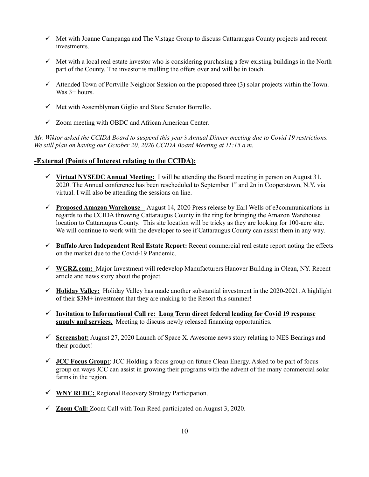- $\checkmark$  Met with Joanne Campanga and The Vistage Group to discuss Cattaraugus County projects and recent investments.
- $\checkmark$  Met with a local real estate investor who is considering purchasing a few existing buildings in the North part of the County. The investor is mulling the offers over and will be in touch.
- $\checkmark$  Attended Town of Portville Neighbor Session on the proposed three (3) solar projects within the Town. Was 3+ hours.
- $\checkmark$  Met with Assemblyman Giglio and State Senator Borrello.
- $\checkmark$  Zoom meeting with OBDC and African American Center.

*Mr. Wiktor asked the CCIDA Board to suspend this year's Annual Dinner meeting due to Covid 19 restrictions. We still plan on having our October 20, 2020 CCIDA Board Meeting at 11:15 a.m.*

## **-External (Points of Interest relating to the CCIDA):**

- ! **Virtual NYSEDC Annual Meeting:** I will be attending the Board meeting in person on August 31, 2020. The Annual conference has been rescheduled to September 1<sup>st</sup> and 2n in Cooperstown, N.Y. via virtual. I will also be attending the sessions on line.
- ! **Proposed Amazon Warehouse –** August 14, 2020 Press release by Earl Wells of e3communications in regards to the CCIDA throwing Cattaraugus County in the ring for bringing the Amazon Warehouse location to Cattaraugus County. This site location will be tricky as they are looking for 100-acre site. We will continue to work with the developer to see if Cattaraugus County can assist them in any way.
- ! **Buffalo Area Independent Real Estate Report:** Recent commercial real estate report noting the effects on the market due to the Covid-19 Pandemic.
- ! **WGRZ.com:** Major Investment will redevelop Manufacturers Hanover Building in Olean, NY. Recent article and news story about the project.
- $\checkmark$  **Holiday Valley:** Holiday Valley has made another substantial investment in the 2020-2021. A highlight of their \$3M+ investment that they are making to the Resort this summer!
- ! **Invitation to Informational Call re: Long Term direct federal lending for Covid 19 response supply and services.**Meeting to discuss newly released financing opportunities.
- ! **Screenshot:** August 27, 2020 Launch of Space X. Awesome news story relating to NES Bearings and their product!
- $\checkmark$  **JCC Focus Group:**: JCC Holding a focus group on future Clean Energy. Asked to be part of focus group on ways JCC can assist in growing their programs with the advent of the many commercial solar farms in the region.
- ! **WNY REDC:** Regional Recovery Strategy Participation.
- ! **Zoom Call:** Zoom Call with Tom Reed participated on August 3, 2020.